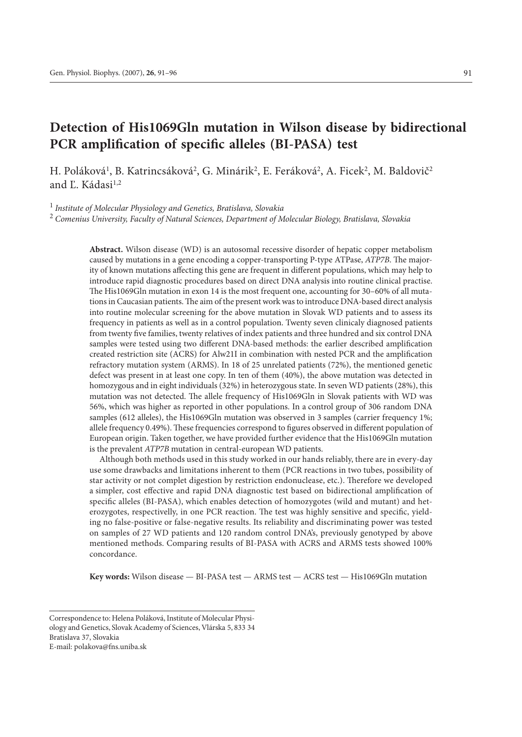# **Detection of His1069Gln mutation in Wilson disease by bidirectional PCR amplification of specific alleles (BI-PASA) test**

H. Poláková<sup>1</sup>, B. Katrincsáková<sup>2</sup>, G. Minárik<sup>2</sup>, E. Feráková<sup>2</sup>, A. Ficek<sup>2</sup>, M. Baldovič<sup>2</sup> and Ľ. Kádasi<sup>1,2</sup>

<sup>1</sup> *Institute of Molecular Physiology and Genetics, Bratislava, Slovakia*

<sup>2</sup> *Comenius University, Faculty of Natural Sciences, Department of Molecular Biology, Bratislava, Slovakia*

**Abstract.** Wilson disease (WD) is an autosomal recessive disorder of hepatic copper metabolism caused by mutations in a gene encoding a copper-transporting P-type ATPase, *ATP7B*. The majority of known mutations affecting this gene are frequent in different populations, which may help to introduce rapid diagnostic procedures based on direct DNA analysis into routine clinical practise. The His1069Gln mutation in exon 14 is the most frequent one, accounting for 30–60% of all mutations in Caucasian patients. The aim of the present work was to introduce DNA-based direct analysis into routine molecular screening for the above mutation in Slovak WD patients and to assess its frequency in patients as well as in a control population. Twenty seven clinicaly diagnosed patients from twenty five families, twenty relatives of index patients and three hundred and six control DNA samples were tested using two different DNA-based methods: the earlier described amplification created restriction site (ACRS) for Alw21I in combination with nested PCR and the amplification refractory mutation system (ARMS). In 18 of 25 unrelated patients (72%), the mentioned genetic defect was present in at least one copy. In ten of them (40%), the above mutation was detected in homozygous and in eight individuals (32%) in heterozygous state. In seven WD patients (28%), this mutation was not detected. The allele frequency of His1069Gln in Slovak patients with WD was 56%, which was higher as reported in other populations. In a control group of 306 random DNA samples (612 alleles), the His1069Gln mutation was observed in 3 samples (carrier frequency 1%; allele frequency 0.49%). These frequencies correspond to figures observed in different population of European origin. Taken together, we have provided further evidence that the His1069Gln mutation is the prevalent *ATP7B* mutation in central-european WD patients.

Although both methods used in this study worked in our hands reliably, there are in every-day use some drawbacks and limitations inherent to them (PCR reactions in two tubes, possibility of star activity or not complet digestion by restriction endonuclease, etc.). Therefore we developed a simpler, cost effective and rapid DNA diagnostic test based on bidirectional amplification of specific alleles (BI-PASA), which enables detection of homozygotes (wild and mutant) and heterozygotes, respectivelly, in one PCR reaction. The test was highly sensitive and specific, yielding no false-positive or false-negative results. Its reliability and discriminating power was tested on samples of 27 WD patients and 120 random control DNA's, previously genotyped by above mentioned methods. Comparing results of BI-PASA with ACRS and ARMS tests showed 100% concordance.

**Key words:** Wilson disease — BI-PASA test — ARMS test — ACRS test — His1069Gln mutation

Correspondence to: Helena Poláková, Institute of Molecular Physiology and Genetics, Slovak Academy of Sciences, Vlárska 5, 833 34 Bratislava 37, Slovakia E-mail: polakova@fns.uniba.sk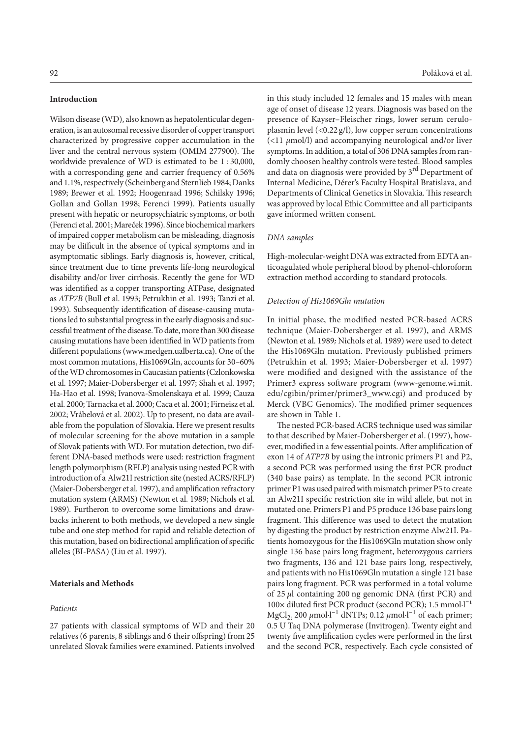#### **Introduction**

Wilson disease (WD), also known as hepatolenticular degeneration, is an autosomal recessive disorder of copper transport characterized by progressive copper accumulation in the liver and the central nervous system (OMIM 277900). The worldwide prevalence of WD is estimated to be 1 : 30,000, with a corresponding gene and carrier frequency of 0.56% and 1.1%, respectively (Scheinberg and Sternlieb 1984; Danks 1989; Brewer et al. 1992; Hoogenraad 1996; Schilsky 1996; Gollan and Gollan 1998; Ferenci 1999). Patients usually present with hepatic or neuropsychiatric symptoms, or both (Ferenci et al. 2001; Mareček 1996). Since biochemical markers of impaired copper metabolism can be misleading, diagnosis may be difficult in the absence of typical symptoms and in asymptomatic siblings. Early diagnosis is, however, critical, since treatment due to time prevents life-long neurological disability and/or liver cirrhosis. Recently the gene for WD was identified as a copper transporting ATPase, designated as *ATP7B* (Bull et al. 1993; Petrukhin et al. 1993; Tanzi et al. 1993). Subsequently identification of disease-causing mutations led to substantial progress in the early diagnosis and successful treatment of the disease. To date, more than 300 disease causing mutations have been identified in WD patients from different populations (www.medgen.ualberta.ca). One of the most common mutations, His1069Gln, accounts for 30–60% of the WD chromosomes in Caucasian patients (Czlonkowska et al. 1997; Maier-Dobersberger et al. 1997; Shah et al. 1997; Ha-Hao et al. 1998; Ivanova-Smolenskaya et al. 1999; Cauza et al. 2000; Tarnacka et al. 2000; Caca et al. 2001; Firneisz et al. 2002; Vrábelová et al. 2002). Up to present, no data are available from the population of Slovakia. Here we present results of molecular screening for the above mutation in a sample of Slovak patients with WD. For mutation detection, two different DNA-based methods were used: restriction fragment length polymorphism (RFLP) analysis using nested PCR with introduction of a Alw21I restriction site (nested ACRS/RFLP) (Maier-Dobersberger et al. 1997), and amplification refractory mutation system (ARMS) (Newton et al. 1989; Nichols et al. 1989). Furtheron to overcome some limitations and drawbacks inherent to both methods, we developed a new single tube and one step method for rapid and reliable detection of this mutation, based on bidirectional amplification of specific alleles (BI-PASA) (Liu et al. 1997).

## **Materials and Methods**

#### *Patients*

27 patients with classical symptoms of WD and their 20 relatives (6 parents, 8 siblings and 6 their offspring) from 25 unrelated Slovak families were examined. Patients involved in this study included 12 females and 15 males with mean age of onset of disease 12 years. Diagnosis was based on the presence of Kayser–Fleischer rings, lower serum ceruloplasmin level  $\left($  <0.22 g/l), low copper serum concentrations (<11 *µ*mol/l) and accompanying neurological and/or liver symptoms. In addition, a total of 306 DNA samples from randomly choosen healthy controls were tested. Blood samples and data on diagnosis were provided by  $3<sup>rd</sup>$  Department of Internal Medicine, Dérer's Faculty Hospital Bratislava, and Departments of Clinical Genetics in Slovakia. This research was approved by local Ethic Committee and all participants gave informed written consent.

#### *DNA samples*

High-molecular-weight DNA was extracted from EDTA anticoagulated whole peripheral blood by phenol-chloroform extraction method according to standard protocols.

#### *Detection of His1069Gln mutation*

In initial phase, the modified nested PCR-based ACRS technique (Maier-Dobersberger et al. 1997), and ARMS (Newton et al. 1989; Nichols et al. 1989) were used to detect the His1069Gln mutation. Previously published primers (Petrukhin et al. 1993; Maier-Dobersberger et al. 1997) were modified and designed with the assistance of the Primer3 express software program (www-genome.wi.mit. edu/cgibin/primer/primer3\_www.cgi) and produced by Merck (VBC Genomics). The modified primer sequences are shown in Table 1.

The nested PCR-based ACRS technique used was similar to that described by Maier-Dobersberger et al. (1997), however, modified in a few essential points. After amplification of exon 14 of *ATP7B* by using the intronic primers P1 and P2, a second PCR was performed using the first PCR product (340 base pairs) as template. In the second PCR intronic primer P1 was used paired with mismatch primer P5 to create an Alw21I specific restriction site in wild allele, but not in mutated one. Primers P1 and P5 produce 136 base pairs long fragment. This difference was used to detect the mutation by digesting the product by restriction enzyme Alw21I. Patients homozygous for the His1069Gln mutation show only single 136 base pairs long fragment, heterozygous carriers two fragments, 136 and 121 base pairs long, respectively, and patients with no His1069Gln mutation a single 121 base pairs long fragment. PCR was performed in a total volume of 25 *µ*l containing 200 ng genomic DNA (first PCR) and 100× diluted first PCR product (second PCR); 1.5 mmol·l<sup>-1</sup> MgCl2; 200 *µ*mol∙l–1 dNTPs; 0.12 *µ*mol∙l–1 of each primer; 0.5 U Taq DNA polymerase (Invitrogen). Twenty eight and twenty five amplification cycles were performed in the first and the second PCR, respectively. Each cycle consisted of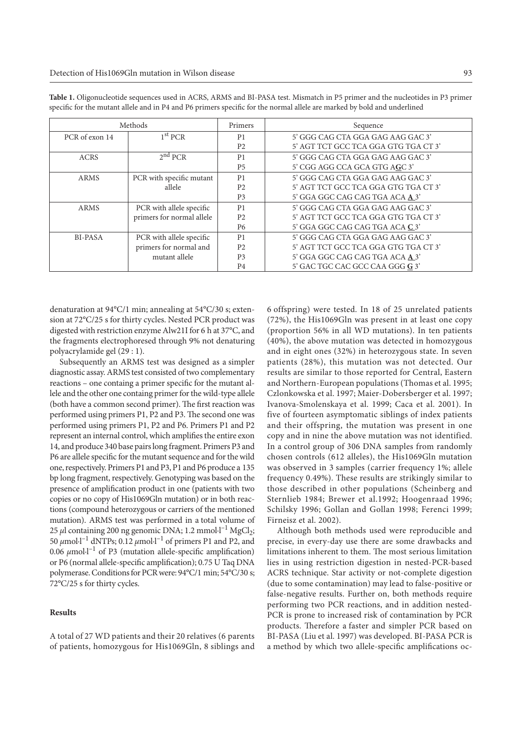| Methods        |                           | Primers        | Sequence                             |
|----------------|---------------------------|----------------|--------------------------------------|
| PCR of exon 14 | 1 <sup>st</sup> PCR       | P <sub>1</sub> | 5' GGG CAG CTA GGA GAG AAG GAC 3'    |
|                |                           | P <sub>2</sub> | 5' AGT TCT GCC TCA GGA GTG TGA CT 3' |
| <b>ACRS</b>    | $2^{nd}$ PCR              | P <sub>1</sub> | 5' GGG CAG CTA GGA GAG AAG GAC 3'    |
|                |                           | <b>P5</b>      | 5' CGG AGG CCA GCA GTG AGC 3'        |
| ARMS           | PCR with specific mutant  | P <sub>1</sub> | 5' GGG CAG CTA GGA GAG AAG GAC 3'    |
|                | allele                    | P <sub>2</sub> | 5' AGT TCT GCC TCA GGA GTG TGA CT 3' |
|                |                           | P <sub>3</sub> | 5' GGA GGC CAG CAG TGA ACA A 3'      |
| <b>ARMS</b>    | PCR with allele specific  | P <sub>1</sub> | 5' GGG CAG CTA GGA GAG AAG GAC 3'    |
|                | primers for normal allele | P <sub>2</sub> | 5' AGT TCT GCC TCA GGA GTG TGA CT 3' |
|                |                           | P6             | 5' GGA GGC CAG CAG TGA ACA C 3'      |
| BI-PASA        | PCR with allele specific  | P <sub>1</sub> | 5' GGG CAG CTA GGA GAG AAG GAC 3'    |
|                | primers for normal and    | P <sub>2</sub> | 5' AGT TCT GCC TCA GGA GTG TGA CT 3' |
|                | mutant allele             | P <sub>3</sub> | 5' GGA GGC CAG CAG TGA ACA A 3'      |
|                |                           | P <sub>4</sub> | 5' GAC TGC CAC GCC CAA GGG G 3'      |

**Table 1.** Oligonucleotide sequences used in ACRS, ARMS and BI-PASA test. Mismatch in P5 primer and the nucleotides in P3 primer specific for the mutant allele and in P4 and P6 primers specific for the normal allele are marked by bold and underlined

denaturation at 94°C/1 min; annealing at 54°C/30 s; extension at 72°C/25 s for thirty cycles. Nested PCR product was digested with restriction enzyme Alw21I for 6 h at 37°C, and the fragments electrophoresed through 9% not denaturing polyacrylamide gel (29 : 1).

Subsequently an ARMS test was designed as a simpler diagnostic assay. ARMS test consisted of two complementary reactions – one containg a primer specific for the mutant allele and the other one containg primer for the wild-type allele (both have a common second primer). The first reaction was performed using primers P1, P2 and P3. The second one was performed using primers P1, P2 and P6. Primers P1 and P2 represent an internal control, which amplifies the entire exon 14, and produce 340 base pairs long fragment. Primers P3 and P6 are allele specific for the mutant sequence and for the wild one, respectively. Primers P1 and P3, P1 and P6 produce a 135 bp long fragment, respectively. Genotyping was based on the presence of amplification product in one (patients with two copies or no copy of His1069Gln mutation) or in both reactions (compound heterozygous or carriers of the mentioned mutation). ARMS test was performed in a total volume of 25 μl containing 200 ng genomic DNA; 1.2 mmol⋅l<sup>-1</sup> MgCl<sub>2</sub>; 50 *µ*mol∙l–1 dNTPs; 0.12 *µ*mol∙l–1 of primers P1 and P2, and 0.06 *µ*mol∙l–1 of P3 (mutation allele-specific amplification) or P6 (normal allele-specific amplification); 0.75 U Taq DNA polymerase. Conditions for PCR were: 94°C/1 min; 54°C/30 s; 72°C/25 s for thirty cycles.

### **Results**

A total of 27 WD patients and their 20 relatives (6 parents of patients, homozygous for His1069Gln, 8 siblings and

6 offspring) were tested. In 18 of 25 unrelated patients (72%), the His1069Gln was present in at least one copy (proportion 56% in all WD mutations). In ten patients (40%), the above mutation was detected in homozygous and in eight ones (32%) in heterozygous state. In seven patients (28%), this mutation was not detected. Our results are similar to those reported for Central, Eastern and Northern-European populations (Thomas et al. 1995; Czlonkowska et al. 1997; Maier-Dobersberger et al. 1997; Ivanova-Smolenskaya et al. 1999; Caca et al. 2001). In five of fourteen asymptomatic siblings of index patients and their offspring, the mutation was present in one copy and in nine the above mutation was not identified. In a control group of 306 DNA samples from randomly chosen controls (612 alleles), the His1069Gln mutation was observed in 3 samples (carrier frequency 1%; allele frequency 0.49%). These results are strikingly similar to those described in other populations (Scheinberg and Sternlieb 1984; Brewer et al.1992; Hoogenraad 1996; Schilsky 1996; Gollan and Gollan 1998; Ferenci 1999; Firneisz et al. 2002).

Although both methods used were reproducible and precise, in every-day use there are some drawbacks and limitations inherent to them. The most serious limitation lies in using restriction digestion in nested-PCR-based ACRS technique. Star activity or not-complete digestion (due to some contamination) may lead to false-positive or false-negative results. Further on, both methods require performing two PCR reactions, and in addition nested-PCR is prone to increased risk of contamination by PCR products. Therefore a faster and simpler PCR based on BI-PASA (Liu et al. 1997) was developed. BI-PASA PCR is a method by which two allele-specific amplifications oc-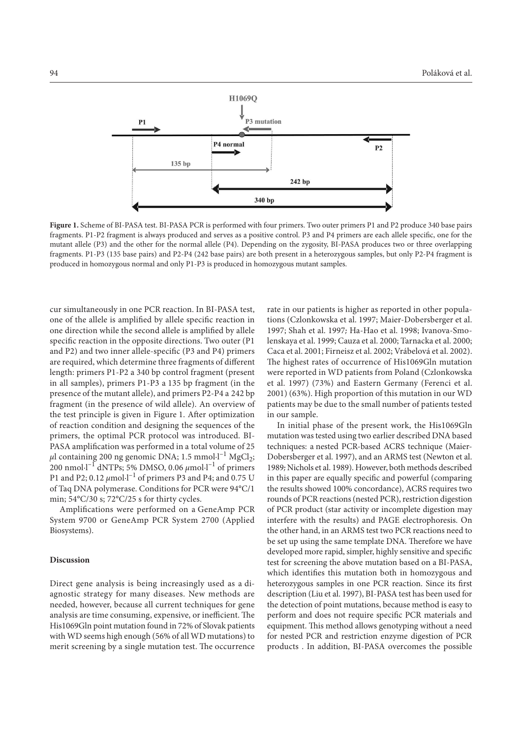

**Figure 1.** Scheme of BI-PASA test. BI-PASA PCR is performed with four primers. Two outer primers P1 and P2 produce 340 base pairs fragments. P1-P2 fragment is always produced and serves as a positive control. P3 and P4 primers are each allele specific, one for the mutant allele (P3) and the other for the normal allele (P4). Depending on the zygosity, BI-PASA produces two or three overlapping fragments. P1-P3 (135 base pairs) and P2-P4 (242 base pairs) are both present in a heterozygous samples, but only P2-P4 fragment is produced in homozygous normal and only P1-P3 is produced in homozygous mutant samples.

cur simultaneously in one PCR reaction. In BI-PASA test, one of the allele is amplified by allele specific reaction in one direction while the second allele is amplified by allele specific reaction in the opposite directions. Two outer (P1 and P2) and two inner allele-specific (P3 and P4) primers are required, which determine three fragments of different length: primers P1-P2 a 340 bp control fragment (present in all samples), primers P1-P3 a 135 bp fragment (in the presence of the mutant allele), and primers P2-P4 a 242 bp fragment (in the presence of wild allele). An overview of the test principle is given in Figure 1. After optimization of reaction condition and designing the sequences of the primers, the optimal PCR protocol was introduced. BI-PASA amplification was performed in a total volume of 25 µl containing 200 ng genomic DNA; 1.5 mmol⋅l<sup>-1</sup> MgCl<sub>2</sub>; 200 nmol∙l–1 dNTPs; 5% DMSO, 0.06 *µ*mol∙l–1 of primers P1 and P2; 0.12 *µ*mol∙l–1 of primers P3 and P4; and 0.75 U of Taq DNA polymerase. Conditions for PCR were 94°C/1 min; 54°C/30 s; 72°C/25 s for thirty cycles.

Amplifications were performed on a GeneAmp PCR System 9700 or GeneAmp PCR System 2700 (Applied Biosystems).

#### **Discussion**

Direct gene analysis is being increasingly used as a diagnostic strategy for many diseases. New methods are needed, however, because all current techniques for gene analysis are time consuming, expensive, or inefficient. The His1069Gln point mutation found in 72% of Slovak patients with WD seems high enough (56% of all WD mutations) to merit screening by a single mutation test. The occurrence rate in our patients is higher as reported in other populations (Czlonkowska et al. 1997; Maier-Dobersberger et al. 1997; Shah et al. 1997; Ha-Hao et al. 1998; Ivanova-Smolenskaya et al. 1999; Cauza et al. 2000; Tarnacka et al. 2000; Caca et al. 2001; Firneisz et al. 2002; Vrábelová et al. 2002). The highest rates of occurrence of His1069Gln mutation were reported in WD patients from Poland (Czlonkowska et al. 1997) (73%) and Eastern Germany (Ferenci et al. 2001) (63%). High proportion of this mutation in our WD patients may be due to the small number of patients tested in our sample.

In initial phase of the present work, the His1069Gln mutation was tested using two earlier described DNA based techniques: a nested PCR-based ACRS technique (Maier-Dobersberger et al. 1997), and an ARMS test (Newton et al. 1989; Nichols et al. 1989). However, both methods described in this paper are equally specific and powerful (comparing the results showed 100% concordance), ACRS requires two rounds of PCR reactions (nested PCR), restriction digestion of PCR product (star activity or incomplete digestion may interfere with the results) and PAGE electrophoresis. On the other hand, in an ARMS test two PCR reactions need to be set up using the same template DNA. Therefore we have developed more rapid, simpler, highly sensitive and specific test for screening the above mutation based on a BI-PASA, which identifies this mutation both in homozygous and heterozygous samples in one PCR reaction. Since its first description (Liu et al. 1997), BI-PASA test has been used for the detection of point mutations, because method is easy to perform and does not require specific PCR materials and equipment. This method allows genotyping without a need for nested PCR and restriction enzyme digestion of PCR products . In addition, BI-PASA overcomes the possible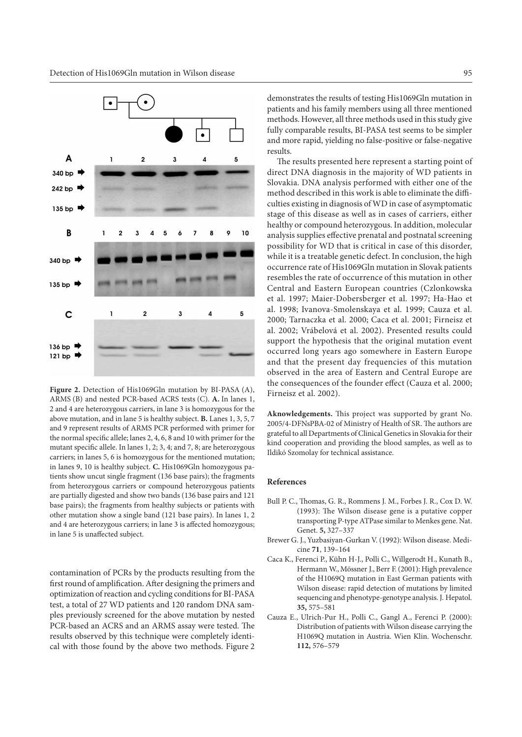

Figure 2. Detection of His1069Gln mutation by BI-PASA (A), ARMS (B) and nested PCR-based ACRS tests (C). **A.** In lanes 1, 2 and 4 are heterozygous carriers, in lane 3 is homozygous for the above mutation, and in lane 5 is healthy subject. **B.** Lanes 1, 3, 5, 7 and 9 represent results of ARMS PCR performed with primer for the normal specific allele; lanes 2, 4, 6, 8 and 10 with primer for the mutant specific allele. In lanes 1, 2; 3, 4; and 7, 8; are heterozygous carriers; in lanes 5, 6 is homozygous for the mentioned mutation; in lanes 9, 10 is healthy subject. **C.** His1069Gln homozygous patients show uncut single fragment (136 base pairs); the fragments from heterozygous carriers or compound heterozygous patients are partially digested and show two bands (136 base pairs and 121 base pairs); the fragments from healthy subjects or patients with other mutation show a single band (121 base pairs). In lanes 1, 2 and 4 are heterozygous carriers; in lane 3 is affected homozygous; in lane 5 is unaffected subject.

contamination of PCRs by the products resulting from the first round of amplification. After designing the primers and optimization of reaction and cycling conditions for BI-PASA test, a total of 27 WD patients and 120 random DNA samples previously screened for the above mutation by nested PCR-based an ACRS and an ARMS assay were tested. The results observed by this technique were completely identical with those found by the above two methods. Figure 2

demonstrates the results of testing His1069Gln mutation in patients and his family members using all three mentioned methods. However, all three methods used in this study give fully comparable results, BI-PASA test seems to be simpler and more rapid, yielding no false-positive or false-negative results.

The results presented here represent a starting point of direct DNA diagnosis in the majority of WD patients in Slovakia. DNA analysis performed with either one of the method described in this work is able to eliminate the difficulties existing in diagnosis of WD in case of asymptomatic stage of this disease as well as in cases of carriers, either healthy or compound heterozygous. In addition, molecular analysis supplies effective prenatal and postnatal screening possibility for WD that is critical in case of this disorder, while it is a treatable genetic defect. In conclusion, the high occurrence rate of His1069Gln mutation in Slovak patients resembles the rate of occurrence of this mutation in other Central and Eastern European countries (Czlonkowska et al. 1997; Maier-Dobersberger et al. 1997; Ha-Hao et al. 1998; Ivanova-Smolenskaya et al. 1999; Cauza et al. 2000; Tarnaczka et al. 2000; Caca et al. 2001; Firneisz et al. 2002; Vrábelová et al. 2002). Presented results could support the hypothesis that the original mutation event occurred long years ago somewhere in Eastern Europe and that the present day frequencies of this mutation observed in the area of Eastern and Central Europe are the consequences of the founder effect (Cauza et al. 2000; Firneisz et al. 2002).

**Aknowledgements.** This project was supported by grant No. 2005/4-DFNsPBA-02 of Ministry of Health of SR. The authors are grateful to all Departments of Clinical Genetics in Slovakia for their kind cooperation and providing the blood samples, as well as to Ildikó Szomolay for technical assistance.

#### **References**

- Bull P. C., Thomas, G. R., Rommens J. M., Forbes J. R., Cox D. W. (1993): The Wilson disease gene is a putative copper transporting P-type ATPase similar to Menkes gene. Nat. Genet. **5,** 327–337
- Brewer G. J., Yuzbasiyan-Gurkan V. (1992): Wilson disease. Medicine **71**, 139–164
- Caca K., Ferenci P., Kühn H-J., Polli C., Willgerodt H., Kunath B., Hermann W., Mössner J., Berr F. (2001): High prevalence of the H1069Q mutation in East German patients with Wilson disease: rapid detection of mutations by limited sequencing and phenotype-genotype analysis. J. Hepatol. **35,** 575–581
- Cauza E., Ulrich-Pur H., Polli C., Gangl A., Ferenci P. (2000): Distribution of patients with Wilson disease carrying the H1069Q mutation in Austria. Wien Klin. Wochenschr. **112,** 576–579